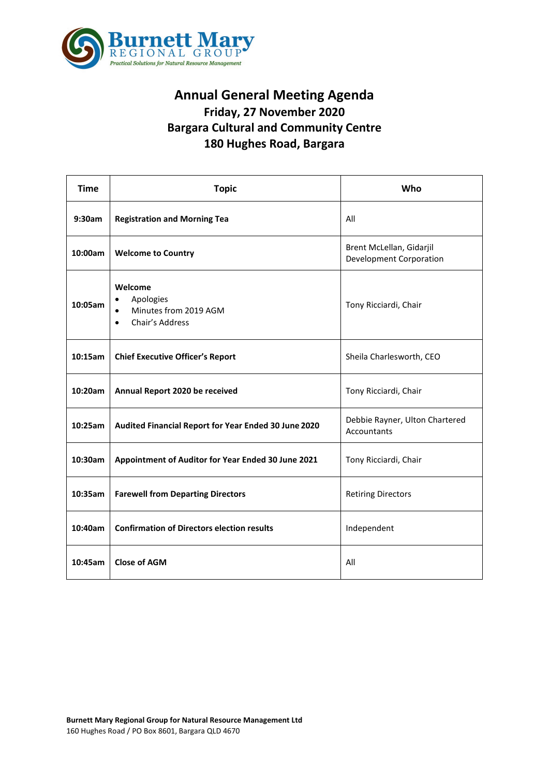

## **Annual General Meeting Agenda Friday, 27 November 2020 Bargara Cultural and Community Centre 180 Hughes Road, Bargara**

| <b>Time</b> | <b>Topic</b>                                                                               | Who                                                        |
|-------------|--------------------------------------------------------------------------------------------|------------------------------------------------------------|
| 9:30am      | <b>Registration and Morning Tea</b>                                                        | All                                                        |
| 10:00am     | <b>Welcome to Country</b>                                                                  | Brent McLellan, Gidarjil<br><b>Development Corporation</b> |
| 10:05am     | Welcome<br>Apologies<br>$\bullet$<br>Minutes from 2019 AGM<br>Chair's Address<br>$\bullet$ | Tony Ricciardi, Chair                                      |
| 10:15am     | <b>Chief Executive Officer's Report</b>                                                    | Sheila Charlesworth, CEO                                   |
| 10:20am     | Annual Report 2020 be received                                                             | Tony Ricciardi, Chair                                      |
| 10:25am     | Audited Financial Report for Year Ended 30 June 2020                                       | Debbie Rayner, Ulton Chartered<br>Accountants              |
| 10:30am     | Appointment of Auditor for Year Ended 30 June 2021                                         | Tony Ricciardi, Chair                                      |
| 10:35am     | <b>Farewell from Departing Directors</b>                                                   | <b>Retiring Directors</b>                                  |
| 10:40am     | <b>Confirmation of Directors election results</b>                                          | Independent                                                |
| 10:45am     | <b>Close of AGM</b>                                                                        | All                                                        |